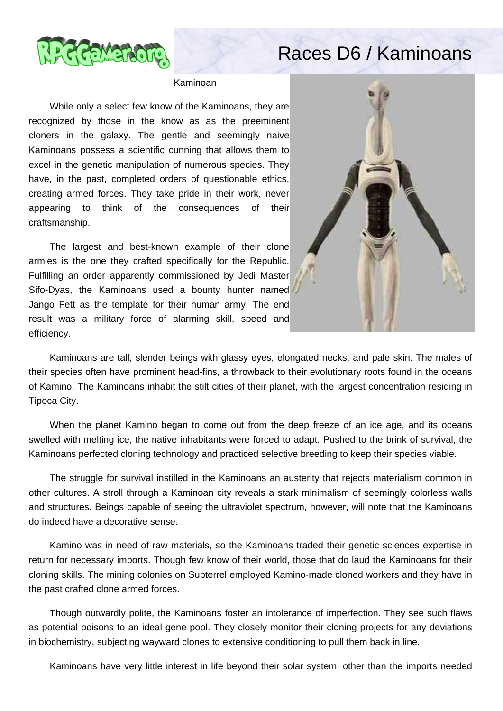

## Races D6 / Kaminoans

## Kaminoan

 While only a select few know of the Kaminoans, they are recognized by those in the know as as the preeminent cloners in the galaxy. The gentle and seemingly naive Kaminoans possess a scientific cunning that allows them to excel in the genetic manipulation of numerous species. They have, in the past, completed orders of questionable ethics, creating armed forces. They take pride in their work, never appearing to think of the consequences of their craftsmanship.

 The largest and best-known example of their clone armies is the one they crafted specifically for the Republic. Fulfilling an order apparently commissioned by Jedi Master Sifo-Dyas, the Kaminoans used a bounty hunter named Jango Fett as the template for their human army. The end result was a military force of alarming skill, speed and efficiency.



 Kaminoans are tall, slender beings with glassy eyes, elongated necks, and pale skin. The males of their species often have prominent head-fins, a throwback to their evolutionary roots found in the oceans of Kamino. The Kaminoans inhabit the stilt cities of their planet, with the largest concentration residing in Tipoca City.

 When the planet Kamino began to come out from the deep freeze of an ice age, and its oceans swelled with melting ice, the native inhabitants were forced to adapt. Pushed to the brink of survival, the Kaminoans perfected cloning technology and practiced selective breeding to keep their species viable.

 The struggle for survival instilled in the Kaminoans an austerity that rejects materialism common in other cultures. A stroll through a Kaminoan city reveals a stark minimalism of seemingly colorless walls and structures. Beings capable of seeing the ultraviolet spectrum, however, will note that the Kaminoans do indeed have a decorative sense.

 Kamino was in need of raw materials, so the Kaminoans traded their genetic sciences expertise in return for necessary imports. Though few know of their world, those that do laud the Kaminoans for their cloning skills. The mining colonies on Subterrel employed Kamino-made cloned workers and they have in the past crafted clone armed forces.

 Though outwardly polite, the Kaminoans foster an intolerance of imperfection. They see such flaws as potential poisons to an ideal gene pool. They closely monitor their cloning projects for any deviations in biochemistry, subjecting wayward clones to extensive conditioning to pull them back in line.

Kaminoans have very little interest in life beyond their solar system, other than the imports needed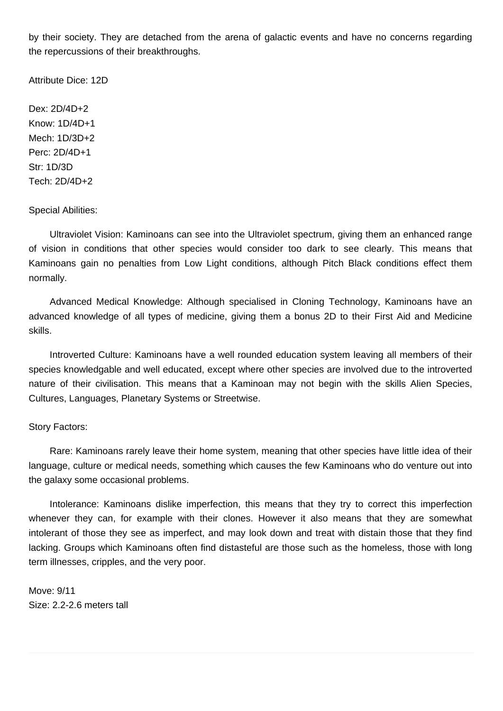by their society. They are detached from the arena of galactic events and have no concerns regarding the repercussions of their breakthroughs.

Attribute Dice: 12D

Dex: 2D/4D+2 Know: 1D/4D+1 Mech: 1D/3D+2 Perc: 2D/4D+1 Str: 1D/3D Tech: 2D/4D+2

Special Abilities:

 Ultraviolet Vision: Kaminoans can see into the Ultraviolet spectrum, giving them an enhanced range of vision in conditions that other species would consider too dark to see clearly. This means that Kaminoans gain no penalties from Low Light conditions, although Pitch Black conditions effect them normally.

 Advanced Medical Knowledge: Although specialised in Cloning Technology, Kaminoans have an advanced knowledge of all types of medicine, giving them a bonus 2D to their First Aid and Medicine skills.

 Introverted Culture: Kaminoans have a well rounded education system leaving all members of their species knowledgable and well educated, except where other species are involved due to the introverted nature of their civilisation. This means that a Kaminoan may not begin with the skills Alien Species, Cultures, Languages, Planetary Systems or Streetwise.

## Story Factors:

 Rare: Kaminoans rarely leave their home system, meaning that other species have little idea of their language, culture or medical needs, something which causes the few Kaminoans who do venture out into the galaxy some occasional problems.

 Intolerance: Kaminoans dislike imperfection, this means that they try to correct this imperfection whenever they can, for example with their clones. However it also means that they are somewhat intolerant of those they see as imperfect, and may look down and treat with distain those that they find lacking. Groups which Kaminoans often find distasteful are those such as the homeless, those with long term illnesses, cripples, and the very poor.

Move: 9/11 Size: 2.2-2.6 meters tall